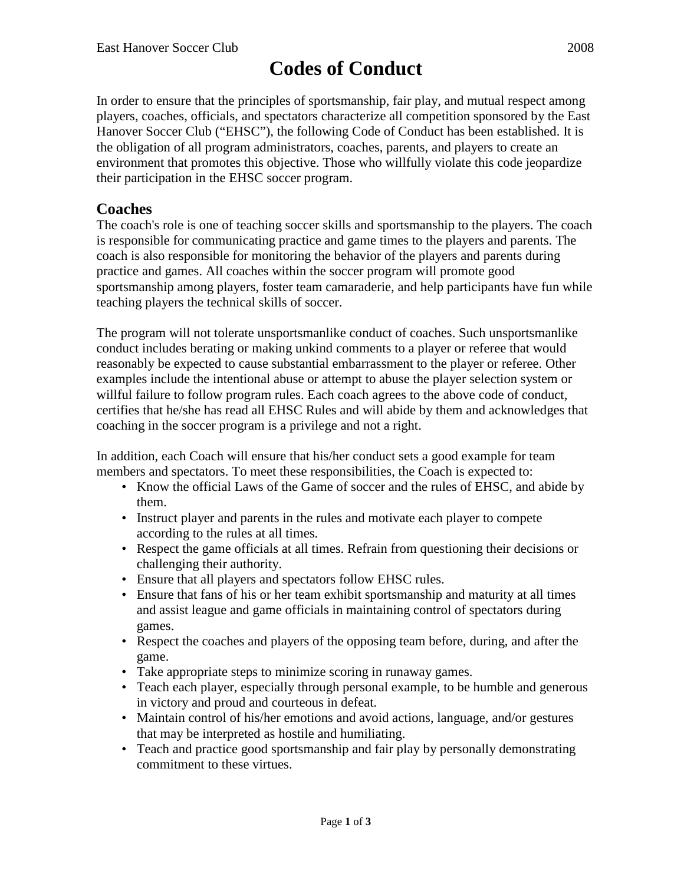# **Codes of Conduct**

In order to ensure that the principles of sportsmanship, fair play, and mutual respect among players, coaches, officials, and spectators characterize all competition sponsored by the East Hanover Soccer Club ("EHSC"), the following Code of Conduct has been established. It is the obligation of all program administrators, coaches, parents, and players to create an environment that promotes this objective. Those who willfully violate this code jeopardize their participation in the EHSC soccer program.

## **Coaches**

The coach's role is one of teaching soccer skills and sportsmanship to the players. The coach is responsible for communicating practice and game times to the players and parents. The coach is also responsible for monitoring the behavior of the players and parents during practice and games. All coaches within the soccer program will promote good sportsmanship among players, foster team camaraderie, and help participants have fun while teaching players the technical skills of soccer.

The program will not tolerate unsportsmanlike conduct of coaches. Such unsportsmanlike conduct includes berating or making unkind comments to a player or referee that would reasonably be expected to cause substantial embarrassment to the player or referee. Other examples include the intentional abuse or attempt to abuse the player selection system or willful failure to follow program rules. Each coach agrees to the above code of conduct, certifies that he/she has read all EHSC Rules and will abide by them and acknowledges that coaching in the soccer program is a privilege and not a right.

In addition, each Coach will ensure that his/her conduct sets a good example for team members and spectators. To meet these responsibilities, the Coach is expected to:

- Know the official Laws of the Game of soccer and the rules of EHSC, and abide by them.
- Instruct player and parents in the rules and motivate each player to compete according to the rules at all times.
- Respect the game officials at all times. Refrain from questioning their decisions or challenging their authority.
- Ensure that all players and spectators follow EHSC rules.
- Ensure that fans of his or her team exhibit sportsmanship and maturity at all times and assist league and game officials in maintaining control of spectators during games.
- Respect the coaches and players of the opposing team before, during, and after the game.
- Take appropriate steps to minimize scoring in runaway games.
- Teach each player, especially through personal example, to be humble and generous in victory and proud and courteous in defeat.
- Maintain control of his/her emotions and avoid actions, language, and/or gestures that may be interpreted as hostile and humiliating.
- Teach and practice good sportsmanship and fair play by personally demonstrating commitment to these virtues.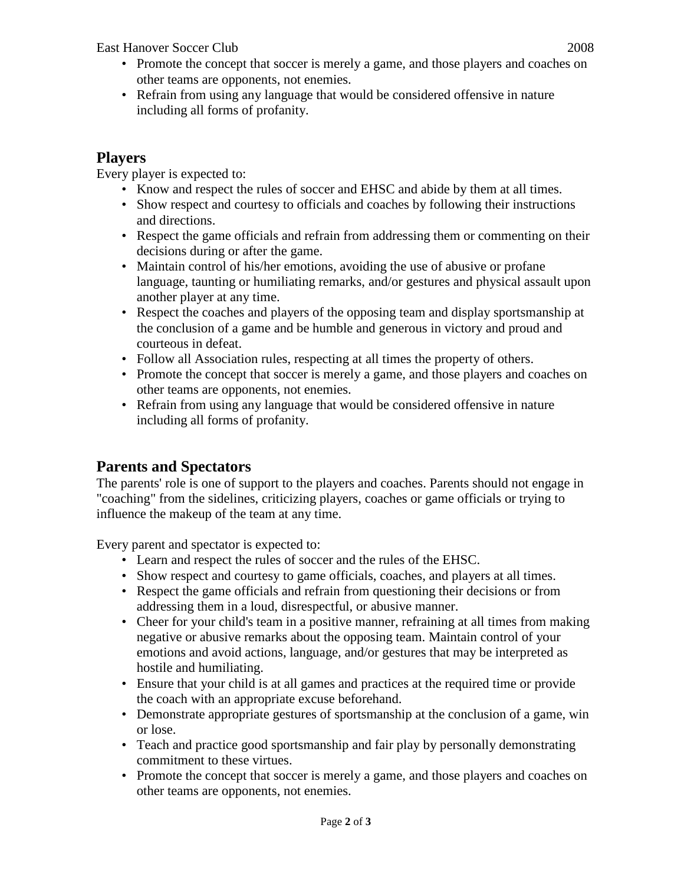East Hanover Soccer Club 2008

- Promote the concept that soccer is merely a game, and those players and coaches on other teams are opponents, not enemies.
- Refrain from using any language that would be considered offensive in nature including all forms of profanity.

## **Players**

Every player is expected to:

- Know and respect the rules of soccer and EHSC and abide by them at all times.
- Show respect and courtesy to officials and coaches by following their instructions and directions.
- Respect the game officials and refrain from addressing them or commenting on their decisions during or after the game.
- Maintain control of his/her emotions, avoiding the use of abusive or profane language, taunting or humiliating remarks, and/or gestures and physical assault upon another player at any time.
- Respect the coaches and players of the opposing team and display sportsmanship at the conclusion of a game and be humble and generous in victory and proud and courteous in defeat.
- Follow all Association rules, respecting at all times the property of others.
- Promote the concept that soccer is merely a game, and those players and coaches on other teams are opponents, not enemies.
- Refrain from using any language that would be considered offensive in nature including all forms of profanity.

# **Parents and Spectators**

The parents' role is one of support to the players and coaches. Parents should not engage in "coaching" from the sidelines, criticizing players, coaches or game officials or trying to influence the makeup of the team at any time.

Every parent and spectator is expected to:

- Learn and respect the rules of soccer and the rules of the EHSC.
- Show respect and courtesy to game officials, coaches, and players at all times.
- Respect the game officials and refrain from questioning their decisions or from addressing them in a loud, disrespectful, or abusive manner.
- Cheer for your child's team in a positive manner, refraining at all times from making negative or abusive remarks about the opposing team. Maintain control of your emotions and avoid actions, language, and/or gestures that may be interpreted as hostile and humiliating.
- Ensure that your child is at all games and practices at the required time or provide the coach with an appropriate excuse beforehand.
- Demonstrate appropriate gestures of sportsmanship at the conclusion of a game, win or lose.
- Teach and practice good sportsmanship and fair play by personally demonstrating commitment to these virtues.
- Promote the concept that soccer is merely a game, and those players and coaches on other teams are opponents, not enemies.